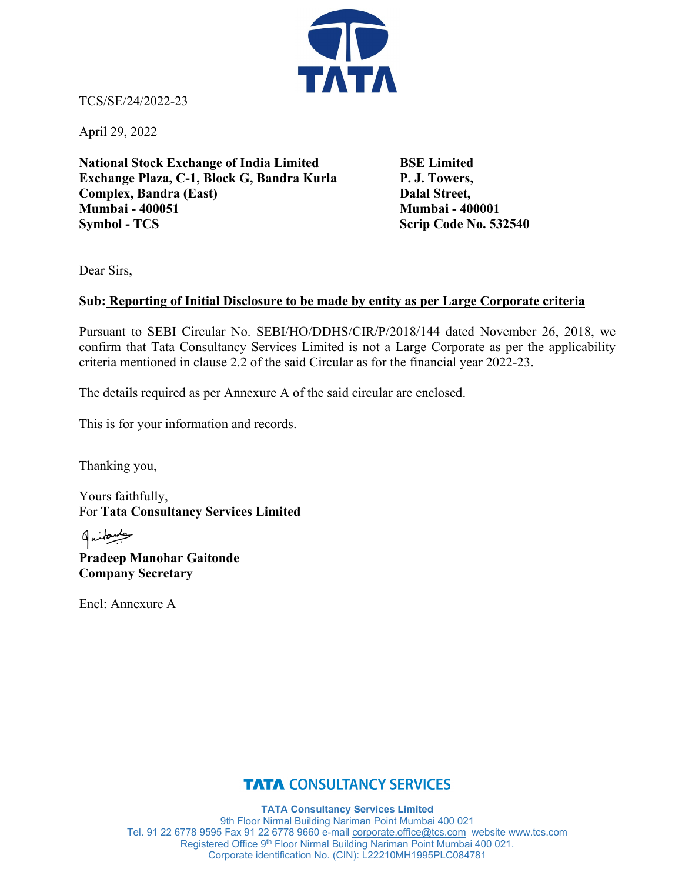

TCS/SE/24/2022-23

April 29, 2022

**National Stock Exchange of India Limited BSE Limited** Exchange Plaza, C-1, Block G, Bandra Kurla P. J. Towers, **Complex, Bandra (East)** Dalal Street, **Mumbai - 400051 Mumbai - 400001 Symbol - TCS** Scrip Code No. 532540

Dear Sirs,

## **Sub: Reporting of Initial Disclosure to be made by entity as per Large Corporate criteria**

Pursuant to SEBI Circular No. SEBI/HO/DDHS/CIR/P/2018/144 dated November 26, 2018, we confirm that Tata Consultancy Services Limited is not a Large Corporate as per the applicability criteria mentioned in clause 2.2 of the said Circular as for the financial year 2022-23.

The details required as per Annexure A of the said circular are enclosed.

This is for your information and records.

Thanking you,

Yours faithfully, For **Tata Consultancy Services Limited**

طبيعكسها **Pradeep Manohar Gaitonde Company Secretary**

Encl: Annexure A

## **TATA CONSULTANCY SERVICES**

**TATA Consultancy Services Limited** 9th Floor Nirmal Building Nariman Point Mumbai 400 021 Tel. 91 22 6778 9595 Fax 91 22 6778 9660 e-mail [corporate.office@tcs.com](mailto:corporate.office@tcs.com) website www.tcs.com Registered Office 9<sup>th</sup> Floor Nirmal Building Nariman Point Mumbai 400 021. Corporate identification No. (CIN): L22210MH1995PLC084781